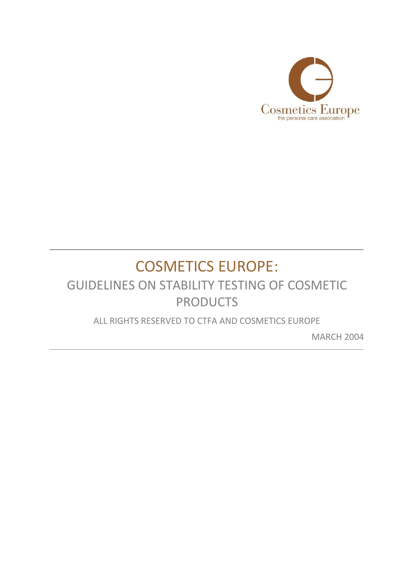

# COSMETICS EUROPE:

## GUIDELINES ON STABILITY TESTING OF COSMETIC PRODUCTS

ALL RIGHTS RESERVED TO CTFA AND COSMETICS EUROPE

MARCH 2004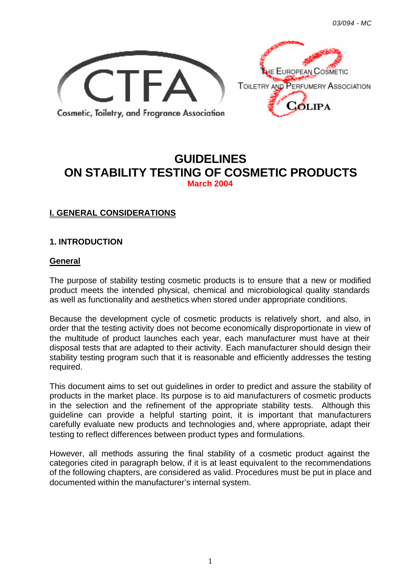



## **GUIDELINES ON STABILITY TESTING OF COSMETIC PRODUCTS March 2004**

## **I. GENERAL CONSIDERATIONS**

## **1. INTRODUCTION**

#### **General**

The purpose of stability testing cosmetic products is to ensure that a new or modified product meets the intended physical, chemical and microbiological quality standards as well as functionality and aesthetics when stored under appropriate conditions.

Because the development cycle of cosmetic products is relatively short, and also, in order that the testing activity does not become economically disproportionate in view of the multitude of product launches each year, each manufacturer must have at their disposal tests that are adapted to their activity. Each manufacturer should design their stability testing program such that it is reasonable and efficiently addresses the testing required.

This document aims to set out guidelines in order to predict and assure the stability of products in the market place. Its purpose is to aid manufacturers of cosmetic products in the selection and the refinement of the appropriate stability tests. Although this guideline can provide a helpful starting point, it is important that manufacturers carefully evaluate new products and technologies and, where appropriate, adapt their testing to reflect differences between product types and formulations.

However, all methods assuring the final stability of a cosmetic product against the categories cited in paragraph below, if it is at least equivalent to the recommendations of the following chapters, are considered as valid. Procedures must be put in place and documented within the manufacturer's internal system.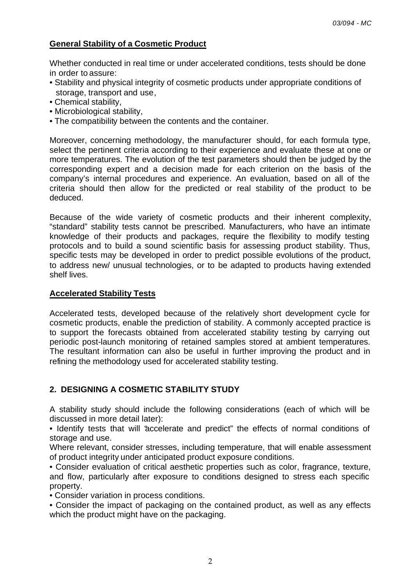## **General Stability of a Cosmetic Product**

Whether conducted in real time or under accelerated conditions, tests should be done in order to assure:

- Stability and physical integrity of cosmetic products under appropriate conditions of storage, transport and use,
- Chemical stability,
- Microbiological stability,
- The compatibility between the contents and the container.

Moreover, concerning methodology, the manufacturer should, for each formula type, select the pertinent criteria according to their experience and evaluate these at one or more temperatures. The evolution of the test parameters should then be judged by the corresponding expert and a decision made for each criterion on the basis of the company's internal procedures and experience. An evaluation, based on all of the criteria should then allow for the predicted or real stability of the product to be deduced.

Because of the wide variety of cosmetic products and their inherent complexity, "standard" stability tests cannot be prescribed. Manufacturers, who have an intimate knowledge of their products and packages, require the flexibility to modify testing protocols and to build a sound scientific basis for assessing product stability. Thus, specific tests may be developed in order to predict possible evolutions of the product, to address new/ unusual technologies, or to be adapted to products having extended shelf lives.

#### **Accelerated Stability Tests**

Accelerated tests, developed because of the relatively short development cycle for cosmetic products, enable the prediction of stability. A commonly accepted practice is to support the forecasts obtained from accelerated stability testing by carrying out periodic post-launch monitoring of retained samples stored at ambient temperatures. The resultant information can also be useful in further improving the product and in refining the methodology used for accelerated stability testing.

## **2. DESIGNING A COSMETIC STABILITY STUDY**

A stability study should include the following considerations (each of which will be discussed in more detail later):

• Identify tests that will "accelerate and predict" the effects of normal conditions of storage and use.

Where relevant, consider stresses, including temperature, that will enable assessment of product integrity under anticipated product exposure conditions.

• Consider evaluation of critical aesthetic properties such as color, fragrance, texture, and flow, particularly after exposure to conditions designed to stress each specific property.

• Consider variation in process conditions.

• Consider the impact of packaging on the contained product, as well as any effects which the product might have on the packaging.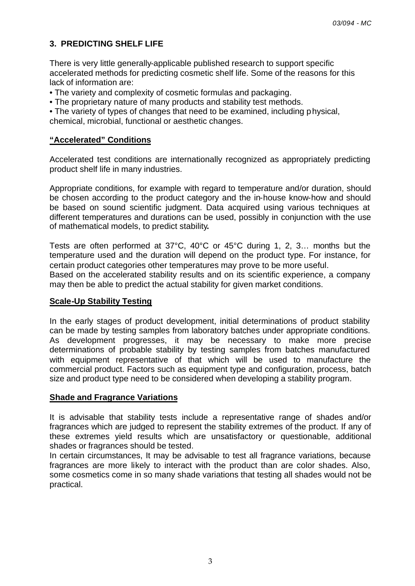## **3. PREDICTING SHELF LIFE**

There is very little generally-applicable published research to support specific accelerated methods for predicting cosmetic shelf life. Some of the reasons for this lack of information are:

- The variety and complexity of cosmetic formulas and packaging.
- The proprietary nature of many products and stability test methods.

• The variety of types of changes that need to be examined, including physical, chemical, microbial, functional or aesthetic changes.

## **"Accelerated" Conditions**

Accelerated test conditions are internationally recognized as appropriately predicting product shelf life in many industries.

Appropriate conditions, for example with regard to temperature and/or duration, should be chosen according to the product category and the in-house know-how and should be based on sound scientific judgment. Data acquired using various techniques at different temperatures and durations can be used, possibly in conjunction with the use of mathematical models, to predict stability**.**

Tests are often performed at 37°C, 40°C or 45°C during 1, 2, 3… months but the temperature used and the duration will depend on the product type. For instance, for certain product categories other temperatures may prove to be more useful.

Based on the accelerated stability results and on its scientific experience, a company may then be able to predict the actual stability for given market conditions.

#### **Scale-Up Stability Testing**

In the early stages of product development, initial determinations of product stability can be made by testing samples from laboratory batches under appropriate conditions. As development progresses, it may be necessary to make more precise determinations of probable stability by testing samples from batches manufactured with equipment representative of that which will be used to manufacture the commercial product. Factors such as equipment type and configuration, process, batch size and product type need to be considered when developing a stability program.

#### **Shade and Fragrance Variations**

It is advisable that stability tests include a representative range of shades and/or fragrances which are judged to represent the stability extremes of the product. If any of these extremes yield results which are unsatisfactory or questionable, additional shades or fragrances should be tested.

In certain circumstances, It may be advisable to test all fragrance variations, because fragrances are more likely to interact with the product than are color shades. Also, some cosmetics come in so many shade variations that testing all shades would not be practical.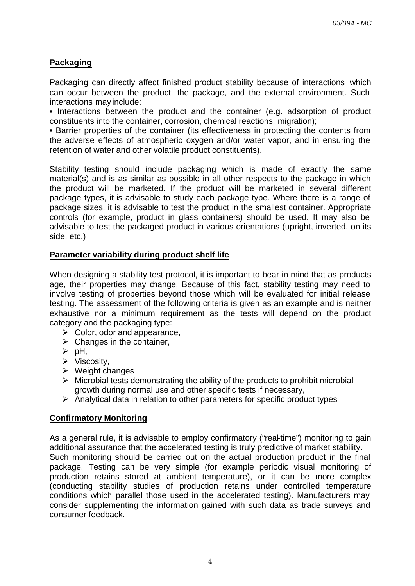## **Packaging**

Packaging can directly affect finished product stability because of interactions which can occur between the product, the package, and the external environment. Such interactions may include:

• Interactions between the product and the container (e.g. adsorption of product constituents into the container, corrosion, chemical reactions, migration);

• Barrier properties of the container (its effectiveness in protecting the contents from the adverse effects of atmospheric oxygen and/or water vapor, and in ensuring the retention of water and other volatile product constituents).

Stability testing should include packaging which is made of exactly the same material(s) and is as similar as possible in all other respects to the package in which the product will be marketed. If the product will be marketed in several different package types, it is advisable to study each package type. Where there is a range of package sizes, it is advisable to test the product in the smallest container. Appropriate controls (for example, product in glass containers) should be used. It may also be advisable to test the packaged product in various orientations (upright, inverted, on its side, etc.)

#### **Parameter variability during product shelf life**

When designing a stability test protocol, it is important to bear in mind that as products age, their properties may change. Because of this fact, stability testing may need to involve testing of properties beyond those which will be evaluated for initial release testing. The assessment of the following criteria is given as an example and is neither exhaustive nor a minimum requirement as the tests will depend on the product category and the packaging type:

- $\triangleright$  Color, odor and appearance,
- $\triangleright$  Changes in the container,
- $\triangleright$  pH,
- $\triangleright$  Viscosity,
- $\triangleright$  Weight changes
- $\triangleright$  Microbial tests demonstrating the ability of the products to prohibit microbial growth during normal use and other specific tests if necessary,
- $\triangleright$  Analytical data in relation to other parameters for specific product types

#### **Confirmatory Monitoring**

As a general rule, it is advisable to employ confirmatory ("real-time") monitoring to gain additional assurance that the accelerated testing is truly predictive of market stability. Such monitoring should be carried out on the actual production product in the final package. Testing can be very simple (for example periodic visual monitoring of production retains stored at ambient temperature), or it can be more complex (conducting stability studies of production retains under controlled temperature conditions which parallel those used in the accelerated testing). Manufacturers may consider supplementing the information gained with such data as trade surveys and consumer feedback.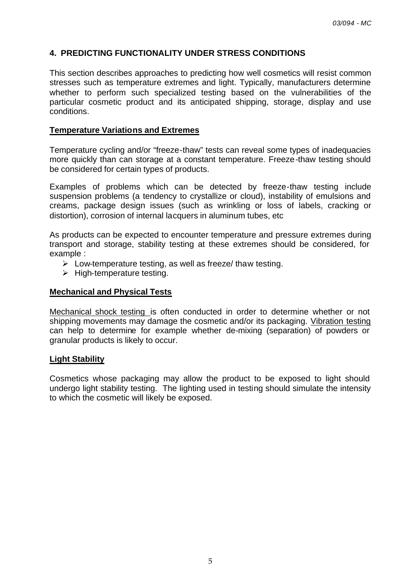## **4. PREDICTING FUNCTIONALITY UNDER STRESS CONDITIONS**

This section describes approaches to predicting how well cosmetics will resist common stresses such as temperature extremes and light. Typically, manufacturers determine whether to perform such specialized testing based on the vulnerabilities of the particular cosmetic product and its anticipated shipping, storage, display and use conditions.

## **Temperature Variations and Extremes**

Temperature cycling and/or "freeze-thaw" tests can reveal some types of inadequacies more quickly than can storage at a constant temperature. Freeze-thaw testing should be considered for certain types of products.

Examples of problems which can be detected by freeze-thaw testing include suspension problems (a tendency to crystallize or cloud), instability of emulsions and creams, package design issues (such as wrinkling or loss of labels, cracking or distortion), corrosion of internal lacquers in aluminum tubes, etc

As products can be expected to encounter temperature and pressure extremes during transport and storage, stability testing at these extremes should be considered, for example :

- $\triangleright$  Low-temperature testing, as well as freeze/ thaw testing.
- $\triangleright$  High-temperature testing.

### **Mechanical and Physical Tests**

Mechanical shock testing is often conducted in order to determine whether or not shipping movements may damage the cosmetic and/or its packaging. Vibration testing can help to determine for example whether de-mixing (separation) of powders or granular products is likely to occur.

#### **Light Stability**

Cosmetics whose packaging may allow the product to be exposed to light should undergo light stability testing. The lighting used in testing should simulate the intensity to which the cosmetic will likely be exposed.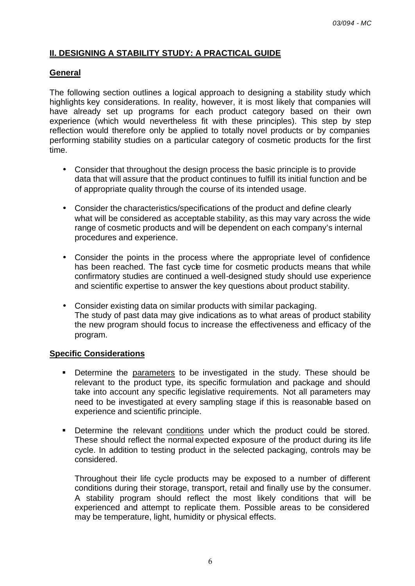## **II. DESIGNING A STABILITY STUDY: A PRACTICAL GUIDE**

### **General**

The following section outlines a logical approach to designing a stability study which highlights key considerations. In reality, however, it is most likely that companies will have already set up programs for each product category based on their own experience (which would nevertheless fit with these principles). This step by step reflection would therefore only be applied to totally novel products or by companies performing stability studies on a particular category of cosmetic products for the first time.

- Consider that throughout the design process the basic principle is to provide data that will assure that the product continues to fulfill its initial function and be of appropriate quality through the course of its intended usage.
- Consider the characteristics/specifications of the product and define clearly what will be considered as acceptable stability, as this may vary across the wide range of cosmetic products and will be dependent on each company's internal procedures and experience.
- Consider the points in the process where the appropriate level of confidence has been reached. The fast cycle time for cosmetic products means that while confirmatory studies are continued a well-designed study should use experience and scientific expertise to answer the key questions about product stability.
- Consider existing data on similar products with similar packaging. The study of past data may give indications as to what areas of product stability the new program should focus to increase the effectiveness and efficacy of the program.

#### **Specific Considerations**

- Determine the parameters to be investigated in the study. These should be relevant to the product type, its specific formulation and package and should take into account any specific legislative requirements. Not all parameters may need to be investigated at every sampling stage if this is reasonable based on experience and scientific principle.
- **•** Determine the relevant conditions under which the product could be stored. These should reflect the normal expected exposure of the product during its life cycle. In addition to testing product in the selected packaging, controls may be considered.

Throughout their life cycle products may be exposed to a number of different conditions during their storage, transport, retail and finally use by the consumer. A stability program should reflect the most likely conditions that will be experienced and attempt to replicate them. Possible areas to be considered may be temperature, light, humidity or physical effects.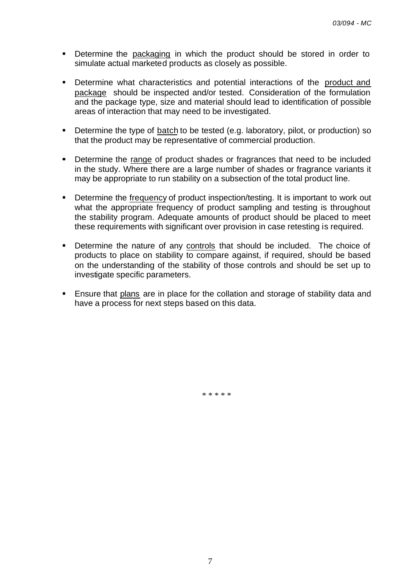- **•** Determine the packaging in which the product should be stored in order to simulate actual marketed products as closely as possible.
- **•** Determine what characteristics and potential interactions of the product and package should be inspected and/or tested. Consideration of the formulation and the package type, size and material should lead to identification of possible areas of interaction that may need to be investigated.
- **Determine the type of batch to be tested (e.g. laboratory, pilot, or production) so** that the product may be representative of commercial production.
- Determine the range of product shades or fragrances that need to be included in the study. Where there are a large number of shades or fragrance variants it may be appropriate to run stability on a subsection of the total product line.
- **•** Determine the frequency of product inspection/testing. It is important to work out what the appropriate frequency of product sampling and testing is throughout the stability program. Adequate amounts of product should be placed to meet these requirements with significant over provision in case retesting is required.
- Determine the nature of any controls that should be included. The choice of products to place on stability to compare against, if required, should be based on the understanding of the stability of those controls and should be set up to investigate specific parameters.
- **Ensure that plans are in place for the collation and storage of stability data and** have a process for next steps based on this data.

\* \* \* \* \*